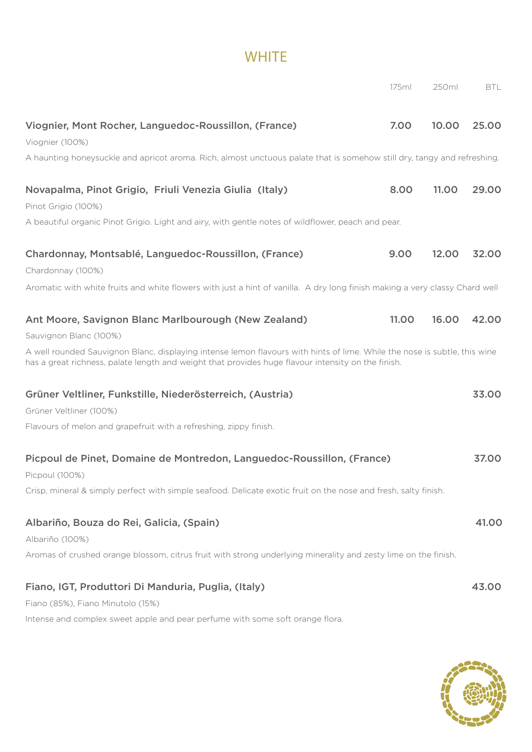### **WHITE**

|                                                                                                                                                                                                                                 | 175ml | 250ml | <b>BTL</b> |
|---------------------------------------------------------------------------------------------------------------------------------------------------------------------------------------------------------------------------------|-------|-------|------------|
| Viognier, Mont Rocher, Languedoc-Roussillon, (France)<br>Viognier (100%)                                                                                                                                                        | 7.00  | 10.00 | 25.00      |
| A haunting honeysuckle and apricot aroma. Rich, almost unctuous palate that is somehow still dry, tangy and refreshing.                                                                                                         |       |       |            |
| Novapalma, Pinot Grigio, Friuli Venezia Giulia (Italy)                                                                                                                                                                          | 8.00  | 11.00 | 29.00      |
| Pinot Grigio (100%)                                                                                                                                                                                                             |       |       |            |
| A beautiful organic Pinot Grigio. Light and airy, with gentle notes of wildflower, peach and pear.                                                                                                                              |       |       |            |
| Chardonnay, Montsablé, Languedoc-Roussillon, (France)                                                                                                                                                                           | 9.00  | 12.00 | 32.00      |
| Chardonnay (100%)                                                                                                                                                                                                               |       |       |            |
| Aromatic with white fruits and white flowers with just a hint of vanilla. A dry long finish making a very classy Chard well                                                                                                     |       |       |            |
| Ant Moore, Savignon Blanc Marlbourough (New Zealand)                                                                                                                                                                            | 11.00 | 16.00 | 42.00      |
| Sauvignon Blanc (100%)                                                                                                                                                                                                          |       |       |            |
| A well rounded Sauvignon Blanc, displaying intense lemon flavours with hints of lime. While the nose is subtle, this wine<br>has a great richness, palate length and weight that provides huge flavour intensity on the finish. |       |       |            |
| Grüner Veltliner, Funkstille, Niederösterreich, (Austria)                                                                                                                                                                       |       |       | 33.00      |
| Grüner Veltliner (100%)                                                                                                                                                                                                         |       |       |            |
| Flavours of melon and grapefruit with a refreshing, zippy finish.                                                                                                                                                               |       |       |            |
| Picpoul de Pinet, Domaine de Montredon, Languedoc-Roussillon, (France)                                                                                                                                                          |       |       | 37.00      |
| Picpoul (100%)                                                                                                                                                                                                                  |       |       |            |
| Crisp, mineral & simply perfect with simple seafood. Delicate exotic fruit on the nose and fresh, salty finish.                                                                                                                 |       |       |            |
| Albariño, Bouza do Rei, Galicia, (Spain)                                                                                                                                                                                        |       |       | 41.00      |
| Albariño (100%)                                                                                                                                                                                                                 |       |       |            |
| Aromas of crushed orange blossom, citrus fruit with strong underlying minerality and zesty lime on the finish.                                                                                                                  |       |       |            |
| Fiano, IGT, Produttori Di Manduria, Puglia, (Italy)                                                                                                                                                                             |       |       | 43.00      |

Fiano (85%), Fiano Minutolo (15%)

Intense and complex sweet apple and pear perfume with some soft orange flora.

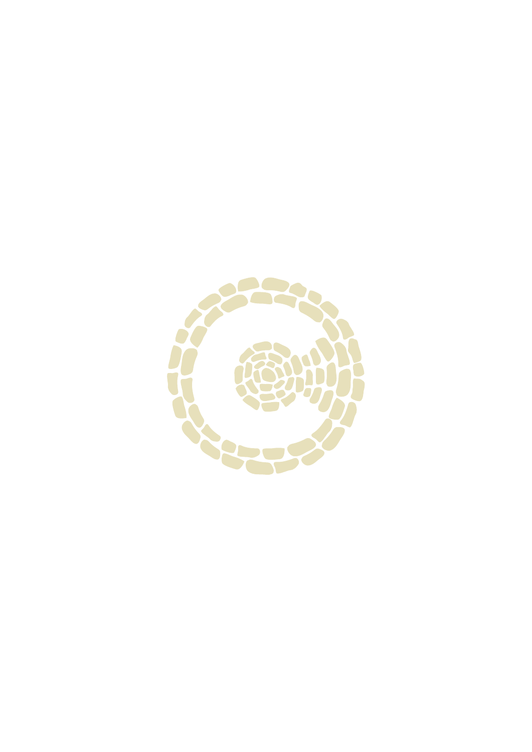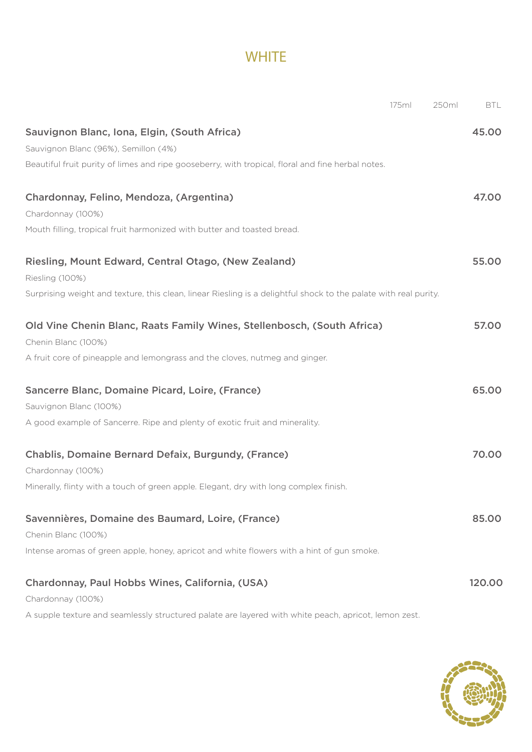### **WHITE**

|                                                                                                                  | 175ml | 250ml | <b>BTL</b> |
|------------------------------------------------------------------------------------------------------------------|-------|-------|------------|
| Sauvignon Blanc, Iona, Elgin, (South Africa)                                                                     |       |       | 45.00      |
| Sauvignon Blanc (96%), Semillon (4%)                                                                             |       |       |            |
| Beautiful fruit purity of limes and ripe gooseberry, with tropical, floral and fine herbal notes.                |       |       |            |
| Chardonnay, Felino, Mendoza, (Argentina)                                                                         |       |       | 47.00      |
| Chardonnay (100%)                                                                                                |       |       |            |
| Mouth filling, tropical fruit harmonized with butter and toasted bread.                                          |       |       |            |
| Riesling, Mount Edward, Central Otago, (New Zealand)                                                             |       |       | 55.00      |
| Riesling (100%)                                                                                                  |       |       |            |
| Surprising weight and texture, this clean, linear Riesling is a delightful shock to the palate with real purity. |       |       |            |
| Old Vine Chenin Blanc, Raats Family Wines, Stellenbosch, (South Africa)                                          |       |       | 57.00      |
| Chenin Blanc (100%)                                                                                              |       |       |            |
| A fruit core of pineapple and lemongrass and the cloves, nutmeg and ginger.                                      |       |       |            |
| Sancerre Blanc, Domaine Picard, Loire, (France)                                                                  |       |       | 65.00      |
| Sauvignon Blanc (100%)                                                                                           |       |       |            |
| A good example of Sancerre. Ripe and plenty of exotic fruit and minerality.                                      |       |       |            |
| <b>Chablis, Domaine Bernard Defaix, Burgundy, (France)</b>                                                       |       |       | 70.00      |
| Chardonnay (100%)                                                                                                |       |       |            |
| Minerally, flinty with a touch of green apple. Elegant, dry with long complex finish.                            |       |       |            |
| Savennières, Domaine des Baumard, Loire, (France)                                                                |       |       | 85.00      |
| Chenin Blanc (100%)                                                                                              |       |       |            |
| Intense aromas of green apple, honey, apricot and white flowers with a hint of gun smoke.                        |       |       |            |
| Chardonnay, Paul Hobbs Wines, California, (USA)                                                                  |       |       | 120.00     |
| Chardonnay (100%)                                                                                                |       |       |            |

A supple texture and seamlessly structured palate are layered with white peach, apricot, lemon zest.

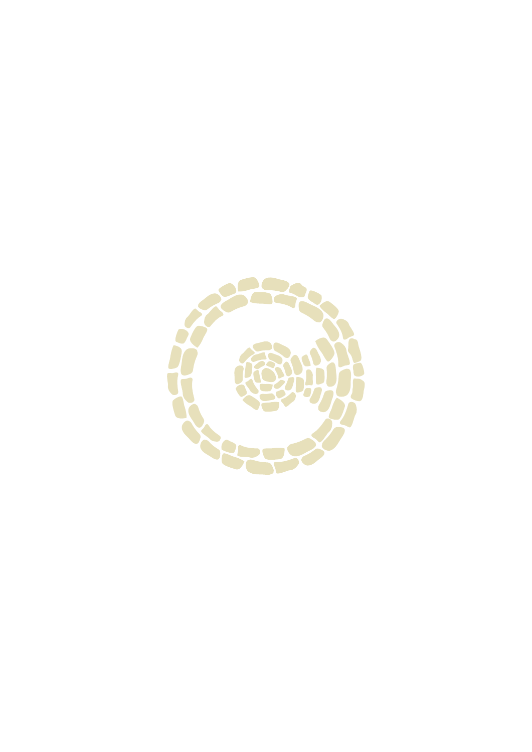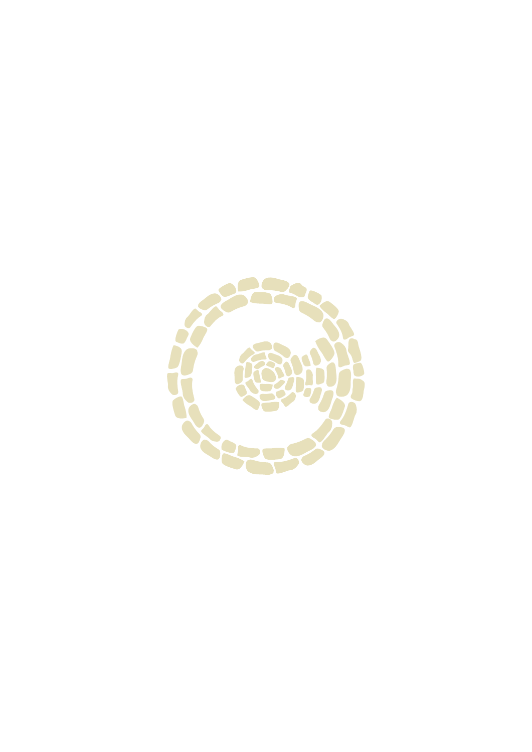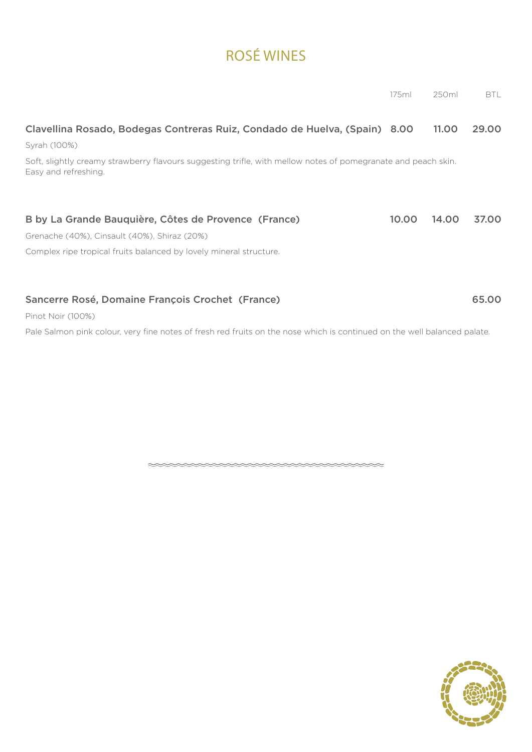# ROSÉ WINES

|                                                                                                                                       | 175ml | 250ml | <b>BTL</b> |
|---------------------------------------------------------------------------------------------------------------------------------------|-------|-------|------------|
| Clavellina Rosado, Bodegas Contreras Ruiz, Condado de Huelva, (Spain) 8.00<br>Syrah (100%)                                            |       | 11.00 | 29.00      |
| Soft, slightly creamy strawberry flavours suggesting trifle, with mellow notes of pomegranate and peach skin.<br>Easy and refreshing. |       |       |            |
|                                                                                                                                       |       |       |            |
| B by La Grande Bauquière, Côtes de Provence (France)                                                                                  | 10.00 | 14.00 | 37.00      |
| Grenache (40%), Cinsault (40%), Shiraz (20%)                                                                                          |       |       |            |
| Complex ripe tropical fruits balanced by lovely mineral structure.                                                                    |       |       |            |
|                                                                                                                                       |       |       |            |
|                                                                                                                                       |       |       |            |

Pale Salmon pink colour, very fine notes of fresh red fruits on the nose which is continued on the well balanced palate.

Pinot Noir (100%)

Sancerre Rosé, Domaine François Crochet (France) 65.00

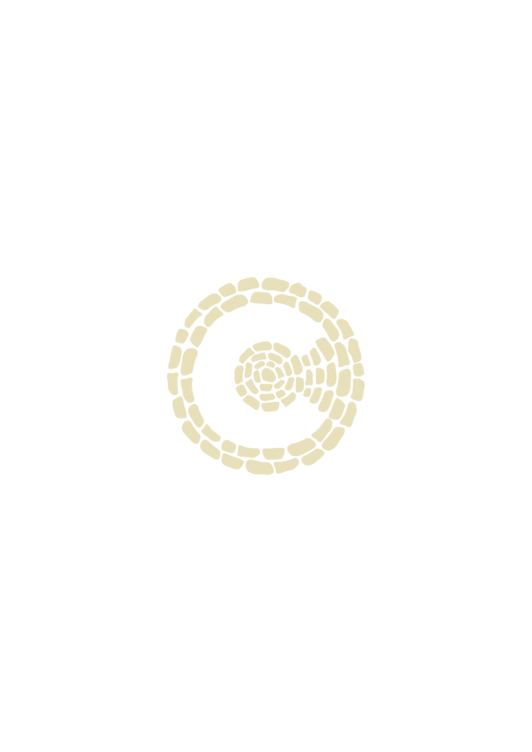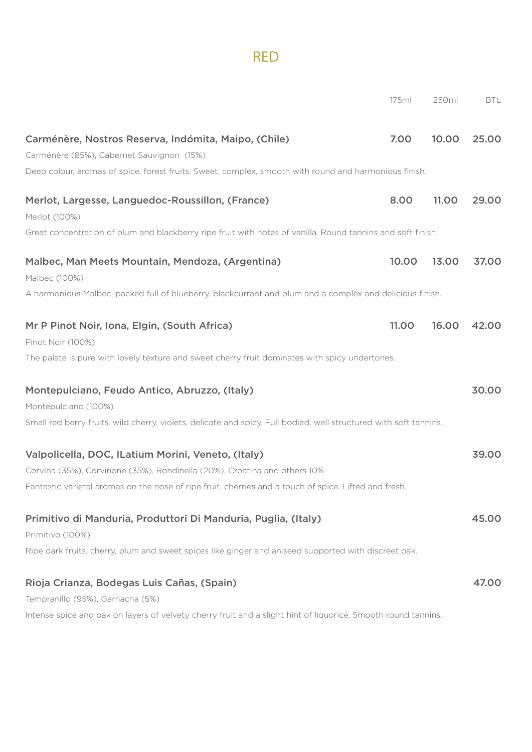# RED

|                                                                                                                   | 175ml | 250ml | <b>BTL</b> |
|-------------------------------------------------------------------------------------------------------------------|-------|-------|------------|
| Carménère, Nostros Reserva, Indómita, Maipo, (Chile)<br>Carménère (85%), Cabernet Sauvignon (15%)                 | 7.00  | 10.00 | 25,00      |
| Deep colour, aromas of spice, forest fruits. Sweet, complex, smooth with round and harmonious finish.             |       |       |            |
| Merlot, Largesse, Languedoc-Roussillon, (France)<br>Merlot (100%)                                                 | 8.00  | 11.00 | 29.00      |
| Great concentration of plum and blackberry ripe fruit with notes of vanilla. Round tannins and soft finish.       |       |       |            |
| Malbec, Man Meets Mountain, Mendoza, (Argentina)<br>Malbec (100%)                                                 | 10.00 | 13.00 | 37.00      |
| A harmonious Malbec, packed full of blueberry, blackcurrant and plum and a complex and delicious finish.          |       |       |            |
| Mr P Pinot Noir, Iona, Elgin, (South Africa)                                                                      | 11.00 | 16.00 | 42.00      |
| Pinot Noir (100%)                                                                                                 |       |       |            |
| The palate is pure with lovely texture and sweet cherry fruit dominates with spicy undertones.                    |       |       |            |
| Montepulciano, Feudo Antico, Abruzzo, (Italy)                                                                     |       |       | 30.00      |
| Montepulciano (100%)                                                                                              |       |       |            |
| Small red berry fruits, wild cherry, violets, delicate and spicy. Full bodied, well structured with soft tannins. |       |       |            |
| Valpolicella, DOC, ILatium Morini, Veneto, (Italy)                                                                |       |       | 39.00      |
| Corvina (35%), Corvinone (35%), Rondinella (20%), Croatina and others 10%                                         |       |       |            |
| Fantastic varietal aromas on the nose of ripe fruit, cherries and a touch of spice. Lifted and fresh.             |       |       |            |
| Primitivo di Manduria, Produttori Di Manduria, Puglia, (Italy)                                                    |       |       | 45.00      |
| Primitivo (100%)                                                                                                  |       |       |            |
| Ripe dark fruits, cherry, plum and sweet spices like ginger and aniseed supported with discreet oak.              |       |       |            |
| Rioja Crianza, Bodegas Luis Cañas, (Spain)                                                                        |       |       | 47.00      |
| Tempranillo (95%), Garnacha (5%)                                                                                  |       |       |            |
|                                                                                                                   |       |       |            |

Intense spice and oak on layers of velvety cherry fruit and a slight hint of liquorice. Smooth round tannins.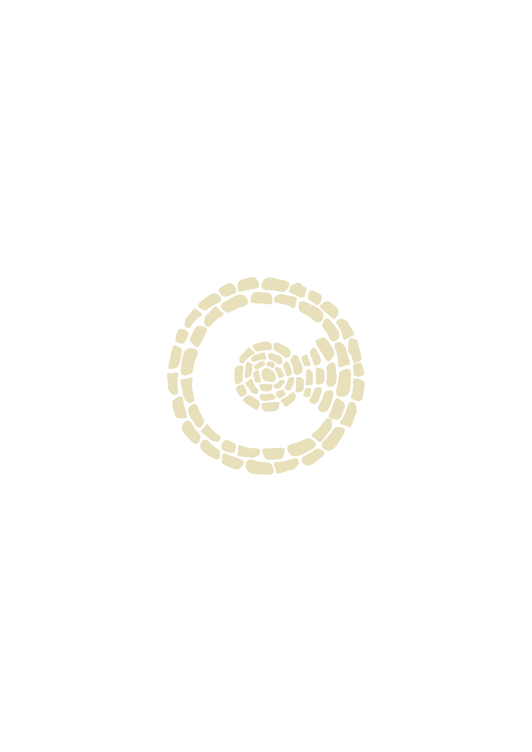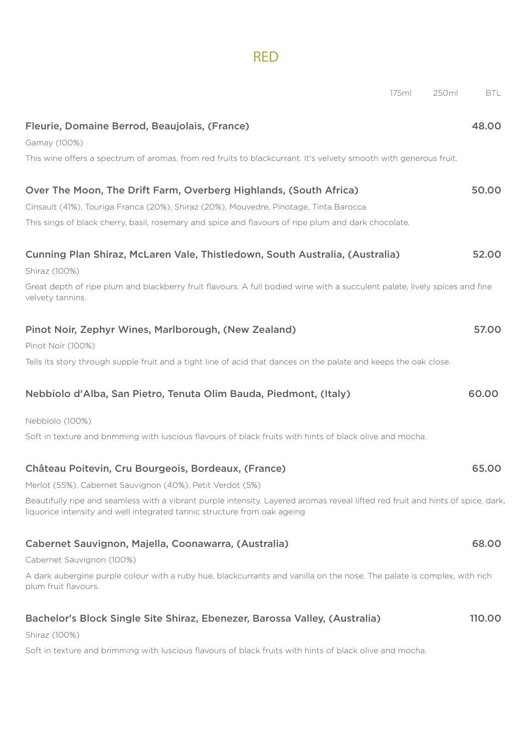## RED

|                                                                                                                                                                                                             | 175ml | 250ml | BTL.   |
|-------------------------------------------------------------------------------------------------------------------------------------------------------------------------------------------------------------|-------|-------|--------|
| Fleurie, Domaine Berrod, Beaujolais, (France)                                                                                                                                                               |       |       | 48.00  |
| Gamay (100%)                                                                                                                                                                                                |       |       |        |
| This wine offers a spectrum of aromas, from red fruits to blackcurrant. It's velvety smooth with generous fruit.                                                                                            |       |       |        |
| Over The Moon, The Drift Farm, Overberg Highlands, (South Africa)                                                                                                                                           |       |       | 50.00  |
| Cinsault (41%), Touriga Franca (20%), Shiraz (20%), Mouvedre, Pinotage, Tinta Barocca                                                                                                                       |       |       |        |
| This sings of black cherry, basil, rosemary and spice and flavours of ripe plum and dark chocolate.                                                                                                         |       |       |        |
| Cunning Plan Shiraz, McLaren Vale, Thistledown, South Australia, (Australia)                                                                                                                                |       |       | 52.00  |
| Shiraz (100%)                                                                                                                                                                                               |       |       |        |
| Great depth of ripe plum and blackberry fruit flavours. A full bodied wine with a succulent palate, lively spices and fine<br>velvety tannins.                                                              |       |       |        |
| Pinot Noir, Zephyr Wines, Marlborough, (New Zealand)                                                                                                                                                        |       |       | 57.00  |
| Pinot Noir (100%)                                                                                                                                                                                           |       |       |        |
| Tells its story through supple fruit and a tight line of acid that dances on the palate and keeps the oak close.                                                                                            |       |       |        |
| Nebbiolo d'Alba, San Pietro, Tenuta Olim Bauda, Piedmont, (Italy)                                                                                                                                           |       |       | 60.00  |
| Nebbiolo (100%)                                                                                                                                                                                             |       |       |        |
| Soft in texture and brimming with luscious flavours of black fruits with hints of black olive and mocha.                                                                                                    |       |       |        |
| Château Poitevin, Cru Bourgeois, Bordeaux, (France)                                                                                                                                                         |       |       | 65.00  |
| Merlot (55%), Cabernet Sauvignon (40%), Petit Verdot (5%)                                                                                                                                                   |       |       |        |
| Beautifully ripe and seamless with a vibrant purple intensity. Layered aromas reveal lifted red fruit and hints of spice, dark,<br>liquorice intensity and well integrated tannic structure from oak ageing |       |       |        |
| Cabernet Sauvignon, Majella, Coonawarra, (Australia)                                                                                                                                                        |       |       | 68.00  |
| Cabernet Sauvignon (100%)                                                                                                                                                                                   |       |       |        |
| A dark aubergine purple colour with a ruby hue, blackcurrants and vanilla on the nose. The palate is complex, with rich<br>plum fruit flavours.                                                             |       |       |        |
| Bachelor's Block Single Site Shiraz, Ebenezer, Barossa Valley, (Australia)<br>Shiraz (100%)                                                                                                                 |       |       | 110.00 |

Soft in texture and brimming with luscious flavours of black fruits with hints of black olive and mocha.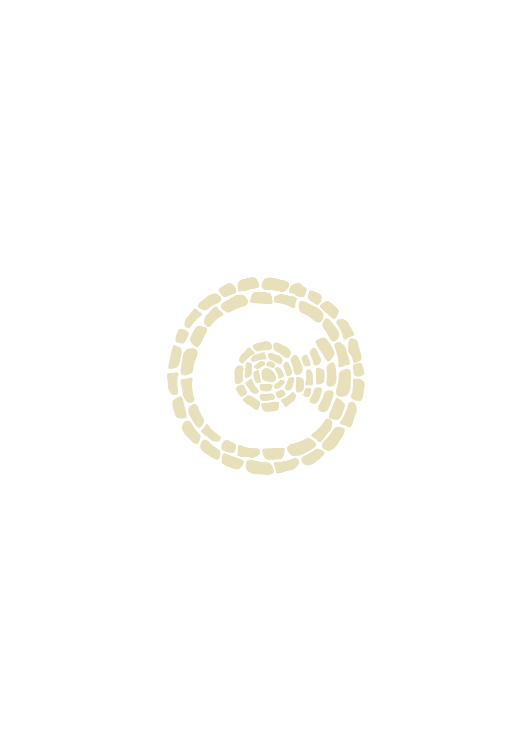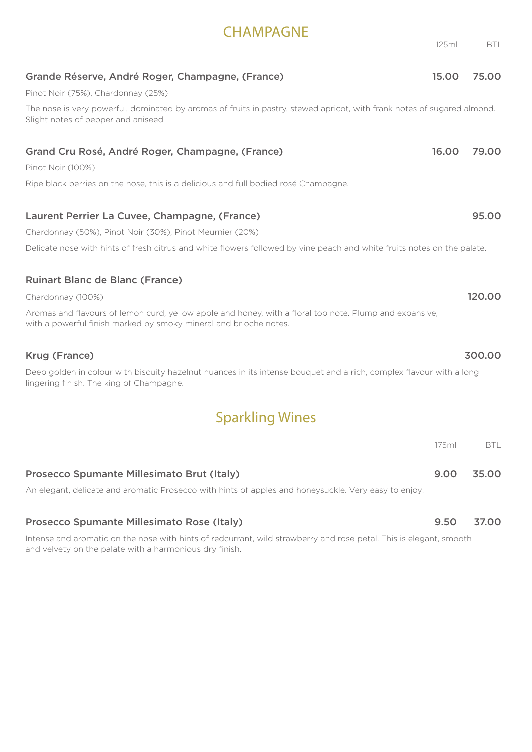#### **CHAMPAGNE**

125ml BTL

| Grande Réserve, André Roger, Champagne, (France)                                                                                                                                                    | 15.00 | 75.00      |  |
|-----------------------------------------------------------------------------------------------------------------------------------------------------------------------------------------------------|-------|------------|--|
| Pinot Noir (75%), Chardonnay (25%)<br>The nose is very powerful, dominated by aromas of fruits in pastry, stewed apricot, with frank notes of sugared almond.<br>Slight notes of pepper and aniseed |       |            |  |
| Grand Cru Rosé, André Roger, Champagne, (France)                                                                                                                                                    | 16.00 | 79.00      |  |
| Pinot Noir (100%)                                                                                                                                                                                   |       |            |  |
| Ripe black berries on the nose, this is a delicious and full bodied rosé Champagne.                                                                                                                 |       |            |  |
| Laurent Perrier La Cuvee, Champagne, (France)                                                                                                                                                       |       | 95.00      |  |
| Chardonnay (50%), Pinot Noir (30%), Pinot Meurnier (20%)                                                                                                                                            |       |            |  |
| Delicate nose with hints of fresh citrus and white flowers followed by vine peach and white fruits notes on the palate.                                                                             |       |            |  |
| <b>Ruinart Blanc de Blanc (France)</b>                                                                                                                                                              |       |            |  |
| Chardonnay (100%)                                                                                                                                                                                   |       | 120.00     |  |
| Aromas and flavours of lemon curd, yellow apple and honey, with a floral top note. Plump and expansive,<br>with a powerful finish marked by smoky mineral and brioche notes.                        |       |            |  |
| Krug (France)                                                                                                                                                                                       |       | 300.00     |  |
| Deep golden in colour with biscuity hazelnut nuances in its intense bouquet and a rich, complex flavour with a long<br>lingering finish. The king of Champagne.                                     |       |            |  |
| <b>Sparkling Wines</b>                                                                                                                                                                              |       |            |  |
|                                                                                                                                                                                                     | 175ml | <b>BTL</b> |  |
| Prosecco Spumante Millesimato Brut (Italy)                                                                                                                                                          | 9.00  | 35.00      |  |
| An elegant, delicate and aromatic Prosecco with hints of apples and honeysuckle. Very easy to enjoy!                                                                                                |       |            |  |

Prosecco Spumante Millesimato Rose (Italy) 8.50 9.50 9.50 37.00

Intense and aromatic on the nose with hints of redcurrant, wild strawberry and rose petal. This is elegant, smooth and velvety on the palate with a harmonious dry finish.